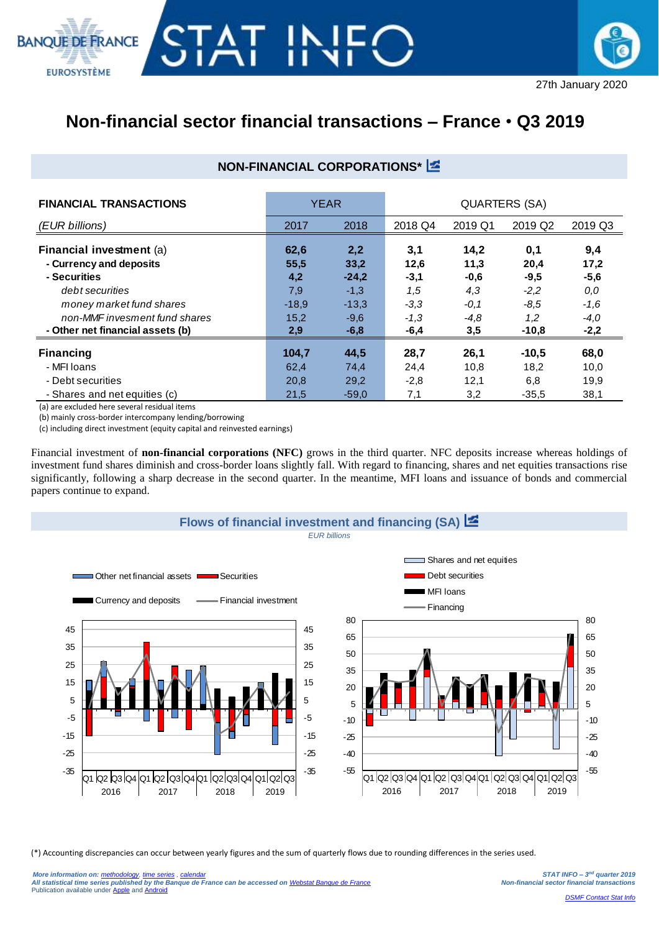



## **Non-financial sector financial transactions – France** • **Q3 2019**

## **NON-FINANCIAL CORPORATIONS\***

| <b>FINANCIAL TRANSACTIONS</b>                                                                                                                                                           | <b>YEAR</b>                                          |                                                                 | <b>QUARTERS (SA)</b>                                       |                                                          |                                                             |                                                            |  |
|-----------------------------------------------------------------------------------------------------------------------------------------------------------------------------------------|------------------------------------------------------|-----------------------------------------------------------------|------------------------------------------------------------|----------------------------------------------------------|-------------------------------------------------------------|------------------------------------------------------------|--|
| (EUR billions)                                                                                                                                                                          | 2017                                                 | 2018                                                            | 2018 Q4                                                    | 2019 Q1                                                  | 2019 Q2                                                     | 2019 Q3                                                    |  |
| Financial investment (a)<br>- Currency and deposits<br>- Securities<br>debt securities<br>money market fund shares<br>non-MMF invesment fund shares<br>- Other net financial assets (b) | 62,6<br>55,5<br>4,2<br>7,9<br>$-18.9$<br>15,2<br>2,9 | 2,2<br>33,2<br>$-24,2$<br>$-1,3$<br>$-13,3$<br>$-9,6$<br>$-6,8$ | 3,1<br>12,6<br>$-3,1$<br>1,5<br>$-3,3$<br>$-1,3$<br>$-6,4$ | 14,2<br>11,3<br>$-0.6$<br>4,3<br>$-0,1$<br>$-4.8$<br>3,5 | 0,1<br>20,4<br>$-9,5$<br>$-2,2$<br>$-8.5$<br>1,2<br>$-10,8$ | 9,4<br>17,2<br>$-5,6$<br>0,0<br>$-1,6$<br>$-4,0$<br>$-2,2$ |  |
| <b>Financing</b>                                                                                                                                                                        | 104,7                                                | 44,5                                                            | 28,7                                                       | 26,1                                                     | $-10.5$                                                     | 68,0                                                       |  |
| - MFI Ioans                                                                                                                                                                             | 62,4                                                 | 74,4                                                            | 24,4                                                       | 10,8                                                     | 18,2                                                        | 10,0                                                       |  |
| - Debt securities<br>- Shares and net equities (c)                                                                                                                                      | 20,8<br>21,5                                         | 29,2<br>$-59.0$                                                 | $-2,8$<br>7,1                                              | 12,1<br>3,2                                              | 6,8<br>$-35.5$                                              | 19,9<br>38,1                                               |  |

(a) are excluded here several residual items

(b) mainly cross-border intercompany lending/borrowing

(c) including direct investment (equity capital and reinvested earnings)

Financial investment of **non-financial corporations (NFC)** grows in the third quarter. NFC deposits increase whereas holdings of investment fund shares diminish and cross-border loans slightly fall. With regard to financing, shares and net equities transactions rise significantly, following a sharp decrease in the second quarter. In the meantime, MFI loans and issuance of bonds and commercial papers continue to expand.



(\*) Accounting discrepancies can occur between yearly figures and the sum of quarterly flows due to rounding differences in the series used.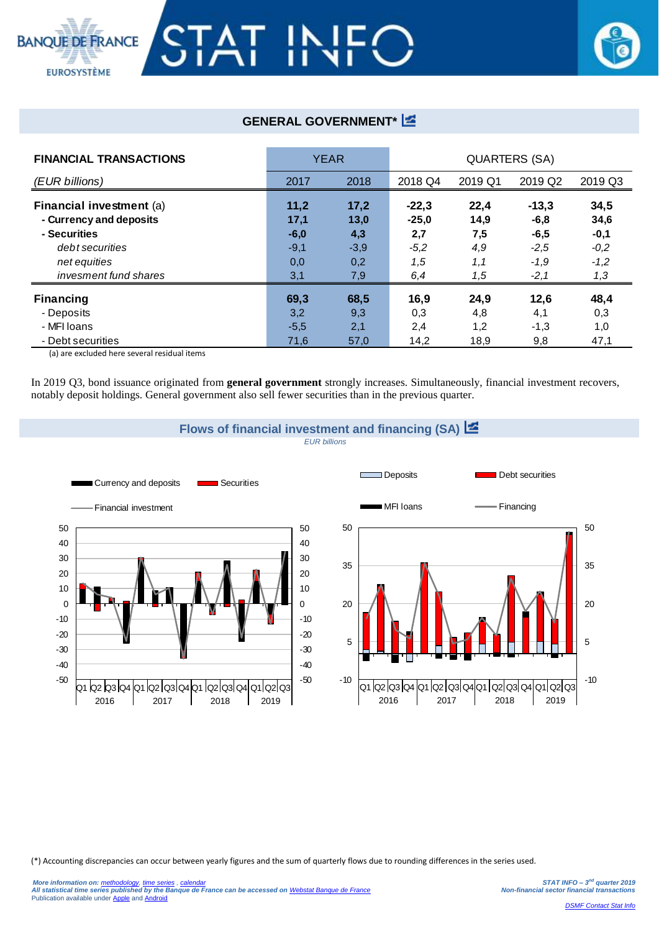## **BANQUE DE FRANCE**



## **GENERAL GOVERNMENT\***

| <b>FINANCIAL TRANSACTIONS</b> | <b>YEAR</b> |        | QUARTERS (SA) |         |                     |         |  |
|-------------------------------|-------------|--------|---------------|---------|---------------------|---------|--|
| (EUR billions)                | 2017        | 2018   | 2018 Q4       | 2019 Q1 | 2019 Q <sub>2</sub> | 2019 Q3 |  |
| Financial investment (a)      | 11,2        | 17,2   | $-22,3$       | 22,4    | $-13,3$             | 34,5    |  |
| - Currency and deposits       | 17,1        | 13,0   | $-25,0$       | 14,9    | $-6,8$              | 34,6    |  |
| - Securities                  | $-6,0$      | 4,3    | 2,7           | 7,5     | $-6,5$              | $-0,1$  |  |
| debt securities               | $-9,1$      | $-3,9$ | $-5,2$        | 4,9     | $-2,5$              | $-0,2$  |  |
| net equities                  | 0,0         | 0,2    | 1,5           | 1,1     | $-1,9$              | $-1,2$  |  |
| invesment fund shares         | 3,1         | 7,9    | 6,4           | 1,5     | $-2,1$              | 1,3     |  |
| <b>Financing</b>              | 69,3        | 68,5   | 16,9          | 24,9    | 12,6                | 48,4    |  |
| - Deposits                    | 3,2         | 9,3    | 0,3           | 4,8     | 4,1                 | 0,3     |  |
| - MFI Ioans                   | $-5,5$      | 2,1    | 2,4           | 1,2     | $-1,3$              | 1,0     |  |
| - Debt securities             | 71,6        | 57,0   | 14,2          | 18,9    | 9,8                 | 47,1    |  |

(a) are excluded here several residual items

**EUROSYSTÈME** 

In 2019 Q3, bond issuance originated from **general government** strongly increases. Simultaneously, financial investment recovers, notably deposit holdings. General government also sell fewer securities than in the previous quarter.



(\*) Accounting discrepancies can occur between yearly figures and the sum of quarterly flows due to rounding differences in the series used.

-10

5

20

35

50